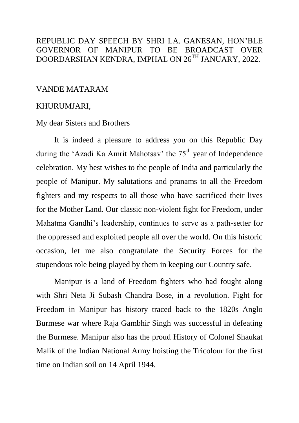## REPUBLIC DAY SPEECH BY SHRI LA. GANESAN, HON'BLE GOVERNOR OF MANIPUR TO BE BROADCAST OVER DOORDARSHAN KENDRA, IMPHAL ON 26TH JANUARY, 2022.

## VANDE MATARAM

## KHURUMJARI,

## My dear Sisters and Brothers

It is indeed a pleasure to address you on this Republic Day during the 'Azadi Ka Amrit Mahotsav' the  $75<sup>th</sup>$  year of Independence celebration. My best wishes to the people of India and particularly the people of Manipur. My salutations and pranams to all the Freedom fighters and my respects to all those who have sacrificed their lives for the Mother Land. Our classic non-violent fight for Freedom, under Mahatma Gandhi's leadership, continues to serve as a path-setter for the oppressed and exploited people all over the world. On this historic occasion, let me also congratulate the Security Forces for the stupendous role being played by them in keeping our Country safe.

Manipur is a land of Freedom fighters who had fought along with Shri Neta Ji Subash Chandra Bose, in a revolution. Fight for Freedom in Manipur has history traced back to the 1820s Anglo Burmese war where Raja Gambhir Singh was successful in defeating the Burmese. Manipur also has the proud History of Colonel Shaukat Malik of the Indian National Army hoisting the Tricolour for the first time on Indian soil on 14 April 1944.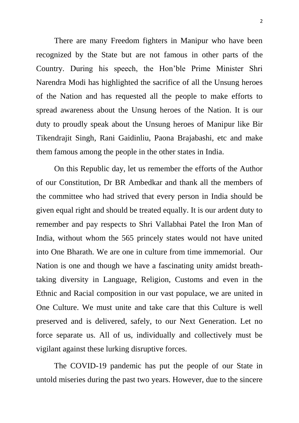There are many Freedom fighters in Manipur who have been recognized by the State but are not famous in other parts of the Country. During his speech, the Hon'ble Prime Minister Shri Narendra Modi has highlighted the sacrifice of all the Unsung heroes of the Nation and has requested all the people to make efforts to spread awareness about the Unsung heroes of the Nation. It is our duty to proudly speak about the Unsung heroes of Manipur like Bir Tikendrajit Singh, Rani Gaidinliu, Paona Brajabashi, etc and make them famous among the people in the other states in India.

On this Republic day, let us remember the efforts of the Author of our Constitution, Dr BR Ambedkar and thank all the members of the committee who had strived that every person in India should be given equal right and should be treated equally. It is our ardent duty to remember and pay respects to Shri Vallabhai Patel the Iron Man of India, without whom the 565 princely states would not have united into One Bharath. We are one in culture from time immemorial. Our Nation is one and though we have a fascinating unity amidst breathtaking diversity in Language, Religion, Customs and even in the Ethnic and Racial composition in our vast populace, we are united in One Culture. We must unite and take care that this Culture is well preserved and is delivered, safely, to our Next Generation. Let no force separate us. All of us, individually and collectively must be vigilant against these lurking disruptive forces.

 The COVID-19 pandemic has put the people of our State in untold miseries during the past two years. However, due to the sincere